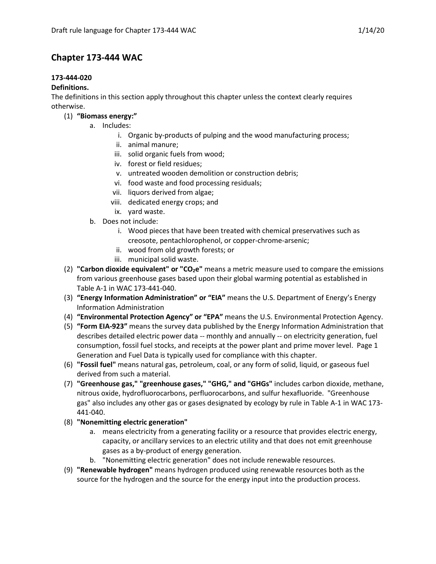# **Chapter 173-444 WAC**

# **173-444-020**

## **Definitions.**

The definitions in this section apply throughout this chapter unless the context clearly requires otherwise.

- (1) **"Biomass energy:"**
	- a. Includes:
		- i. Organic by-products of pulping and the wood manufacturing process;
		- ii. animal manure;
		- iii. solid organic fuels from wood;
		- iv. forest or field residues;
		- v. untreated wooden demolition or construction debris;
		- vi. food waste and food processing residuals;
		- vii. liquors derived from algae;
		- viii. dedicated energy crops; and
		- ix. yard waste.
	- b. Does not include:
		- i. Wood pieces that have been treated with chemical preservatives such as creosote, pentachlorophenol, or copper-chrome-arsenic;
		- ii. wood from old growth forests; or
		- iii. municipal solid waste.
	- (2) **"Carbon dioxide equivalent" or "CO<sub>2</sub>e"** means a metric measure used to compare the emissions from various greenhouse gases based upon their global warming potential as established in Table A-1 in WAC 173-441-040.
	- (3) **"Energy Information Administration" or "EIA"** means the U.S. Department of Energy's Energy Information Administration
	- (4) **"Environmental Protection Agency" or "EPA"** means the U.S. Environmental Protection Agency.
	- (5) **"Form EIA-923"** means the survey data published by the Energy Information Administration that describes detailed electric power data -- monthly and annually -- on electricity generation, fuel consumption, fossil fuel stocks, and receipts at the power plant and prime mover level. Page 1 Generation and Fuel Data is typically used for compliance with this chapter.
	- (6) **"Fossil fuel"** means natural gas, petroleum, coal, or any form of solid, liquid, or gaseous fuel derived from such a material.
	- (7) **"Greenhouse gas," "greenhouse gases," "GHG," and "GHGs"** includes carbon dioxide, methane, nitrous oxide, hydrofluorocarbons, perfluorocarbons, and sulfur hexafluoride. "Greenhouse gas" also includes any other gas or gases designated by ecology by rule in Table A-1 in WAC 173- 441-040.
	- (8) **"Nonemitting electric generation"**
		- a. means electricity from a generating facility or a resource that provides electric energy, capacity, or ancillary services to an electric utility and that does not emit greenhouse gases as a by-product of energy generation.
		- b. "Nonemitting electric generation" does not include renewable resources.
	- (9) **"Renewable hydrogen"** means hydrogen produced using renewable resources both as the source for the hydrogen and the source for the energy input into the production process.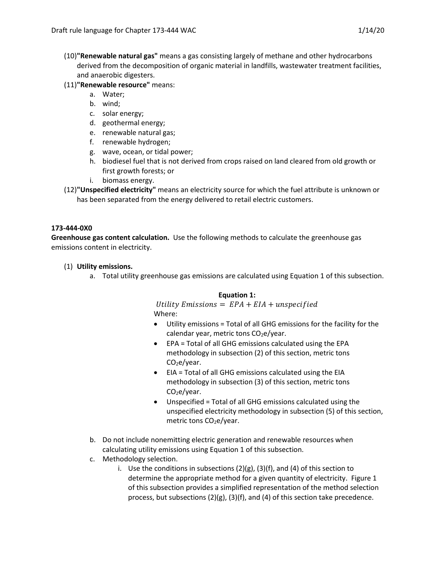- (10)**"Renewable natural gas"** means a gas consisting largely of methane and other hydrocarbons derived from the decomposition of organic material in landfills, wastewater treatment facilities, and anaerobic digesters.
- (11)**"Renewable resource"** means:
	- a. Water;
	- b. wind;
	- c. solar energy;
	- d. geothermal energy;
	- e. renewable natural gas;
	- f. renewable hydrogen;
	- g. wave, ocean, or tidal power;
	- h. biodiesel fuel that is not derived from crops raised on land cleared from old growth or first growth forests; or
	- i. biomass energy.
- (12)**"Unspecified electricity"** means an electricity source for which the fuel attribute is unknown or has been separated from the energy delivered to retail electric customers.

# **173-444-0X0**

**Greenhouse gas content calculation.** Use the following methods to calculate the greenhouse gas emissions content in electricity.

# (1) **Utility emissions.**

a. Total utility greenhouse gas emissions are calculated using Equation 1 of this subsection.

#### **Equation 1:**

Utility Emissions =  $EPA + EIA +$ unspecified Where:

- Utility emissions = Total of all GHG emissions for the facility for the calendar year, metric tons  $CO<sub>2</sub>e/year$ .
- EPA = Total of all GHG emissions calculated using the EPA methodology in subsection (2) of this section, metric tons  $CO<sub>2</sub>e/year.$
- EIA = Total of all GHG emissions calculated using the EIA methodology in subsection (3) of this section, metric tons CO<sub>2</sub>e/year.
- Unspecified = Total of all GHG emissions calculated using the unspecified electricity methodology in subsection (5) of this section, metric tons  $CO<sub>2</sub>e/year$ .
- b. Do not include nonemitting electric generation and renewable resources when calculating utility emissions using Equation 1 of this subsection.
- c. Methodology selection.
	- i. Use the conditions in subsections  $(2)(g)$ ,  $(3)(f)$ , and  $(4)$  of this section to determine the appropriate method for a given quantity of electricity. Figure 1 of this subsection provides a simplified representation of the method selection process, but subsections (2)(g), (3)(f), and (4) of this section take precedence.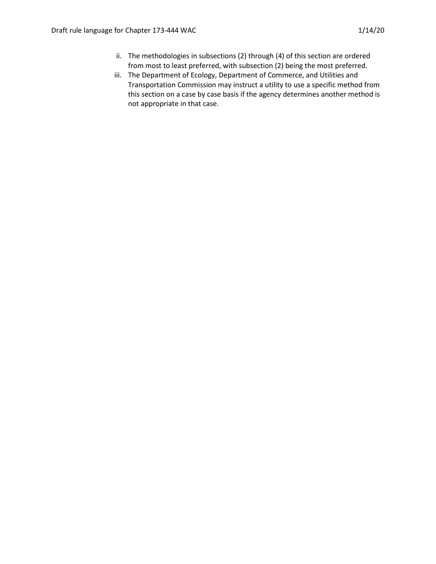- ii. The methodologies in subsections (2) through (4) of this section are ordered from most to least preferred, with subsection (2) being the most preferred.
- iii. The Department of Ecology, Department of Commerce, and Utilities and Transportation Commission may instruct a utility to use a specific method from this section on a case by case basis if the agency determines another method is not appropriate in that case.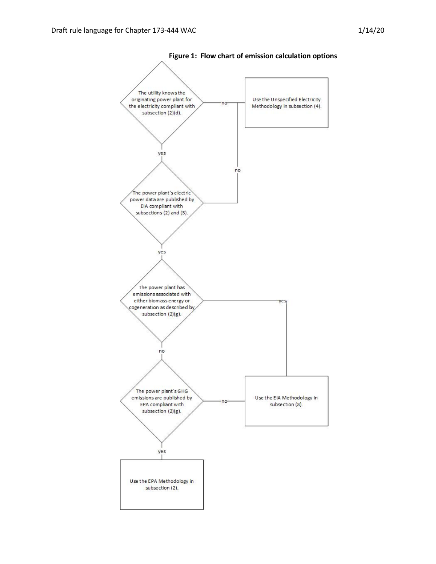



**Figure 1: Flow chart of emission calculation options**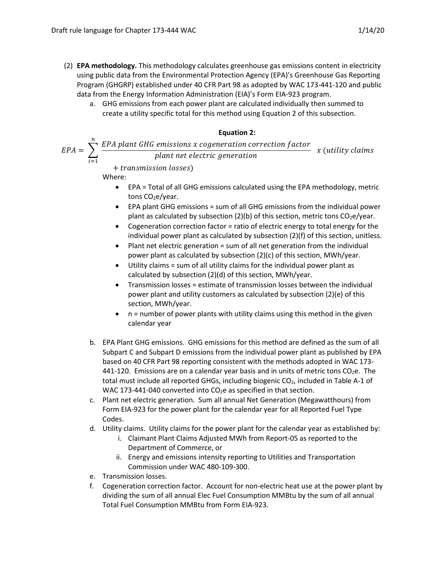- (2) **EPA methodology.** This methodology calculates greenhouse gas emissions content in electricity using public data from the Environmental Protection Agency (EPA)'s Greenhouse Gas Reporting Program (GHGRP) established under 40 CFR Part 98 as adopted by WAC 173-441-120 and public data from the Energy Information Administration (EIA)'s Form EIA-923 program.
	- a. GHG emissions from each power plant are calculated individually then summed to create a utility specific total for this method using Equation 2 of this subsection.

## **Equation 2:**

$$
EPA = \sum_{i=1}^{n} \frac{EPA \text{ plant } GHG \text{ emissions } x \text{ cogeneration correction factor}}{plant \text{ net electric generation}} \quad x \text{ (utility claims)}
$$

+ transmission losses)

Where:

- EPA = Total of all GHG emissions calculated using the EPA methodology, metric tons  $CO<sub>2</sub>e/year$ .
- EPA plant GHG emissions = sum of all GHG emissions from the individual power plant as calculated by subsection (2)(b) of this section, metric tons  $CO<sub>2</sub>e/year$ .
- Cogeneration correction factor = ratio of electric energy to total energy for the individual power plant as calculated by subsection (2)(f) of this section, unitless.
- Plant net electric generation = sum of all net generation from the individual power plant as calculated by subsection (2)(c) of this section, MWh/year.
- Utility claims = sum of all utility claims for the individual power plant as calculated by subsection (2)(d) of this section, MWh/year.
- Transmission losses = estimate of transmission losses between the individual power plant and utility customers as calculated by subsection (2)(e) of this section, MWh/year.
- $n =$  number of power plants with utility claims using this method in the given calendar year
- b. EPA Plant GHG emissions. GHG emissions for this method are defined as the sum of all Subpart C and Subpart D emissions from the individual power plant as published by EPA based on 40 CFR Part 98 reporting consistent with the methods adopted in WAC 173- 441-120. Emissions are on a calendar year basis and in units of metric tons  $CO<sub>2</sub>e$ . The total must include all reported GHGs, including biogenic  $CO<sub>2</sub>$ , included in Table A-1 of WAC 173-441-040 converted into  $CO<sub>2</sub>e$  as specified in that section.
- c. Plant net electric generation. Sum all annual Net Generation (Megawatthours) from Form EIA-923 for the power plant for the calendar year for all Reported Fuel Type Codes.
- d. Utility claims. Utility claims for the power plant for the calendar year as established by:
	- i. Claimant Plant Claims Adjusted MWh from Report-05 as reported to the Department of Commerce, or
	- ii. Energy and emissions intensity reporting to Utilities and Transportation Commission under WAC 480-109-300.
- e. Transmission losses.
- f. Cogeneration correction factor. Account for non-electric heat use at the power plant by dividing the sum of all annual Elec Fuel Consumption MMBtu by the sum of all annual Total Fuel Consumption MMBtu from Form EIA-923.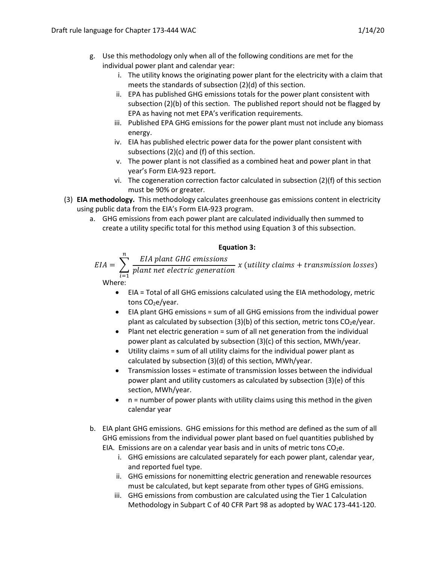- g. Use this methodology only when all of the following conditions are met for the individual power plant and calendar year:
	- i. The utility knows the originating power plant for the electricity with a claim that meets the standards of subsection (2)(d) of this section.
	- ii. EPA has published GHG emissions totals for the power plant consistent with subsection (2)(b) of this section. The published report should not be flagged by EPA as having not met EPA's verification requirements.
	- iii. Published EPA GHG emissions for the power plant must not include any biomass energy.
	- iv. EIA has published electric power data for the power plant consistent with subsections (2)(c) and (f) of this section.
	- v. The power plant is not classified as a combined heat and power plant in that year's Form EIA-923 report.
	- vi. The cogeneration correction factor calculated in subsection (2)(f) of this section must be 90% or greater.
- (3) **EIA methodology.** This methodology calculates greenhouse gas emissions content in electricity using public data from the EIA's Form EIA-923 program.
	- a. GHG emissions from each power plant are calculated individually then summed to create a utility specific total for this method using Equation 3 of this subsection.

#### **Equation 3:**

$$
EIA = \sum_{i=1}^{n} \frac{EIA \text{ plant } GHG \text{ emissions}}{plant \text{ net electric generation}} \times (utility \text{ claims} + transmission \text{ loss})
$$
\nWhere:

- EIA = Total of all GHG emissions calculated using the EIA methodology, metric tons CO<sub>2</sub>e/year.
- EIA plant GHG emissions = sum of all GHG emissions from the individual power plant as calculated by subsection (3)(b) of this section, metric tons  $CO<sub>2</sub>e/year$ .
- Plant net electric generation = sum of all net generation from the individual power plant as calculated by subsection (3)(c) of this section, MWh/year.
- Utility claims = sum of all utility claims for the individual power plant as calculated by subsection (3)(d) of this section, MWh/year.
- Transmission losses = estimate of transmission losses between the individual power plant and utility customers as calculated by subsection (3)(e) of this section, MWh/year.
- $\bullet$  n = number of power plants with utility claims using this method in the given calendar year
- b. EIA plant GHG emissions. GHG emissions for this method are defined as the sum of all GHG emissions from the individual power plant based on fuel quantities published by EIA. Emissions are on a calendar year basis and in units of metric tons  $CO<sub>2</sub>e$ .
	- i. GHG emissions are calculated separately for each power plant, calendar year, and reported fuel type.
	- ii. GHG emissions for nonemitting electric generation and renewable resources must be calculated, but kept separate from other types of GHG emissions.
	- iii. GHG emissions from combustion are calculated using the Tier 1 Calculation Methodology in Subpart C of 40 CFR Part 98 as adopted by WAC 173-441-120.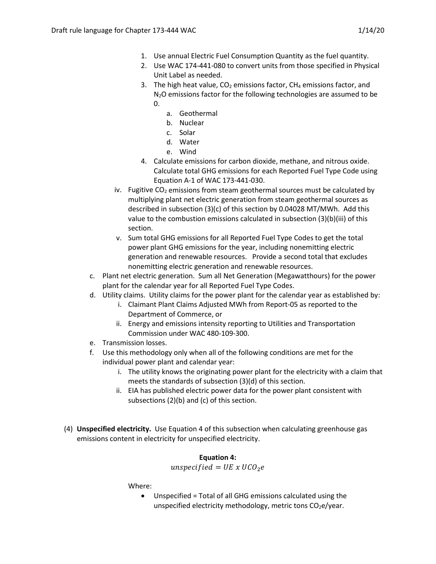- 1. Use annual Electric Fuel Consumption Quantity as the fuel quantity.
- 2. Use WAC 174-441-080 to convert units from those specified in Physical Unit Label as needed.
- 3. The high heat value,  $CO<sub>2</sub>$  emissions factor, CH<sub>4</sub> emissions factor, and N<sub>2</sub>O emissions factor for the following technologies are assumed to be  $\Omega$ .
	- a. Geothermal
	- b. Nuclear
	- c. Solar
	- d. Water
	- e. Wind
- 4. Calculate emissions for carbon dioxide, methane, and nitrous oxide. Calculate total GHG emissions for each Reported Fuel Type Code using Equation A-1 of WAC 173-441-030.
- iv. Fugitive  $CO<sub>2</sub>$  emissions from steam geothermal sources must be calculated by multiplying plant net electric generation from steam geothermal sources as described in subsection (3)(c) of this section by 0.04028 MT/MWh. Add this value to the combustion emissions calculated in subsection (3)(b)(iii) of this section.
- v. Sum total GHG emissions for all Reported Fuel Type Codes to get the total power plant GHG emissions for the year, including nonemitting electric generation and renewable resources. Provide a second total that excludes nonemitting electric generation and renewable resources.
- c. Plant net electric generation. Sum all Net Generation (Megawatthours) for the power plant for the calendar year for all Reported Fuel Type Codes.
- d. Utility claims. Utility claims for the power plant for the calendar year as established by:
	- i. Claimant Plant Claims Adjusted MWh from Report-05 as reported to the Department of Commerce, or
	- ii. Energy and emissions intensity reporting to Utilities and Transportation Commission under WAC 480-109-300.
- e. Transmission losses.
- f. Use this methodology only when all of the following conditions are met for the individual power plant and calendar year:
	- i. The utility knows the originating power plant for the electricity with a claim that meets the standards of subsection (3)(d) of this section.
	- ii. EIA has published electric power data for the power plant consistent with subsections (2)(b) and (c) of this section.
- (4) **Unspecified electricity.** Use Equation 4 of this subsection when calculating greenhouse gas emissions content in electricity for unspecified electricity.

# **Equation 4:**

# unspecified =  $UE \times UCO_2e$

Where:

• Unspecified = Total of all GHG emissions calculated using the unspecified electricity methodology, metric tons  $CO<sub>2</sub>e/year$ .